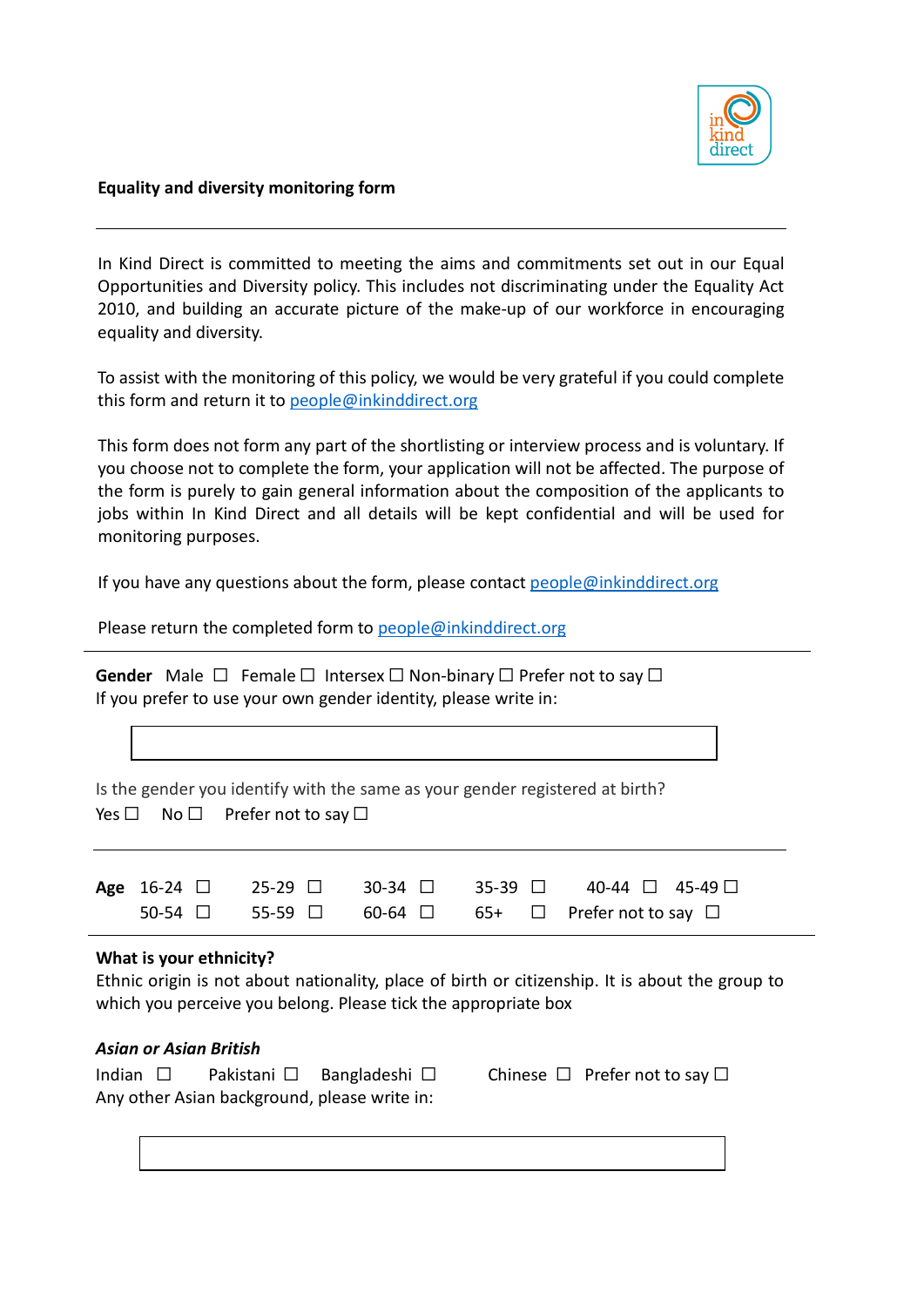

#### **Equality and diversity monitoring form**

In Kind Direct is committed to meeting the aims and commitments set out in our Equal Opportunities and Diversity policy. This includes not discriminating under the Equality Act 2010, and building an accurate picture of the make-up of our workforce in encouraging equality and diversity.

To assist with the monitoring of this policy, we would be very grateful if you could complete this form and return it t[o people@inkinddirect.org](mailto:people@inkinddirect.org)

This form does not form any part of the shortlisting or interview process and is voluntary. If you choose not to complete the form, your application will not be affected. The purpose of the form is purely to gain general information about the composition of the applicants to jobs within In Kind Direct and all details will be kept confidential and will be used for monitoring purposes.

If you have any questions about the form, please contact  $people@inkinddirect.org$ 

Please return the completed form to [people@inkinddirect.org](mailto:people@inkinddirect.org)

Gender Male □ Female □ Intersex □ Non-binary □ Prefer not to say □ If you prefer to use your own gender identity, please write in:

Is the gender you identify with the same as your gender registered at birth? Yes  $\Box$  No  $\Box$  Prefer not to say  $\Box$ 

|  |  |  |  | Age 16-24 $\Box$ 25-29 $\Box$ 30-34 $\Box$ 35-39 $\Box$ 40-44 $\Box$ 45-49 $\Box$  |  |
|--|--|--|--|------------------------------------------------------------------------------------|--|
|  |  |  |  | $50-54$ $\Box$ $55-59$ $\Box$ $60-64$ $\Box$ $65+$ $\Box$ Prefer not to say $\Box$ |  |

### **What is your ethnicity?**

Ethnic origin is not about nationality, place of birth or citizenship. It is about the group to which you perceive you belong. Please tick the appropriate box

### *Asian or Asian British*

| Indian $\square$ |  | Pakistani $\square$ Bangladeshi $\square$    | Chinese $\Box$ Prefer not to say $\Box$ |
|------------------|--|----------------------------------------------|-----------------------------------------|
|                  |  | Any other Asian background, please write in: |                                         |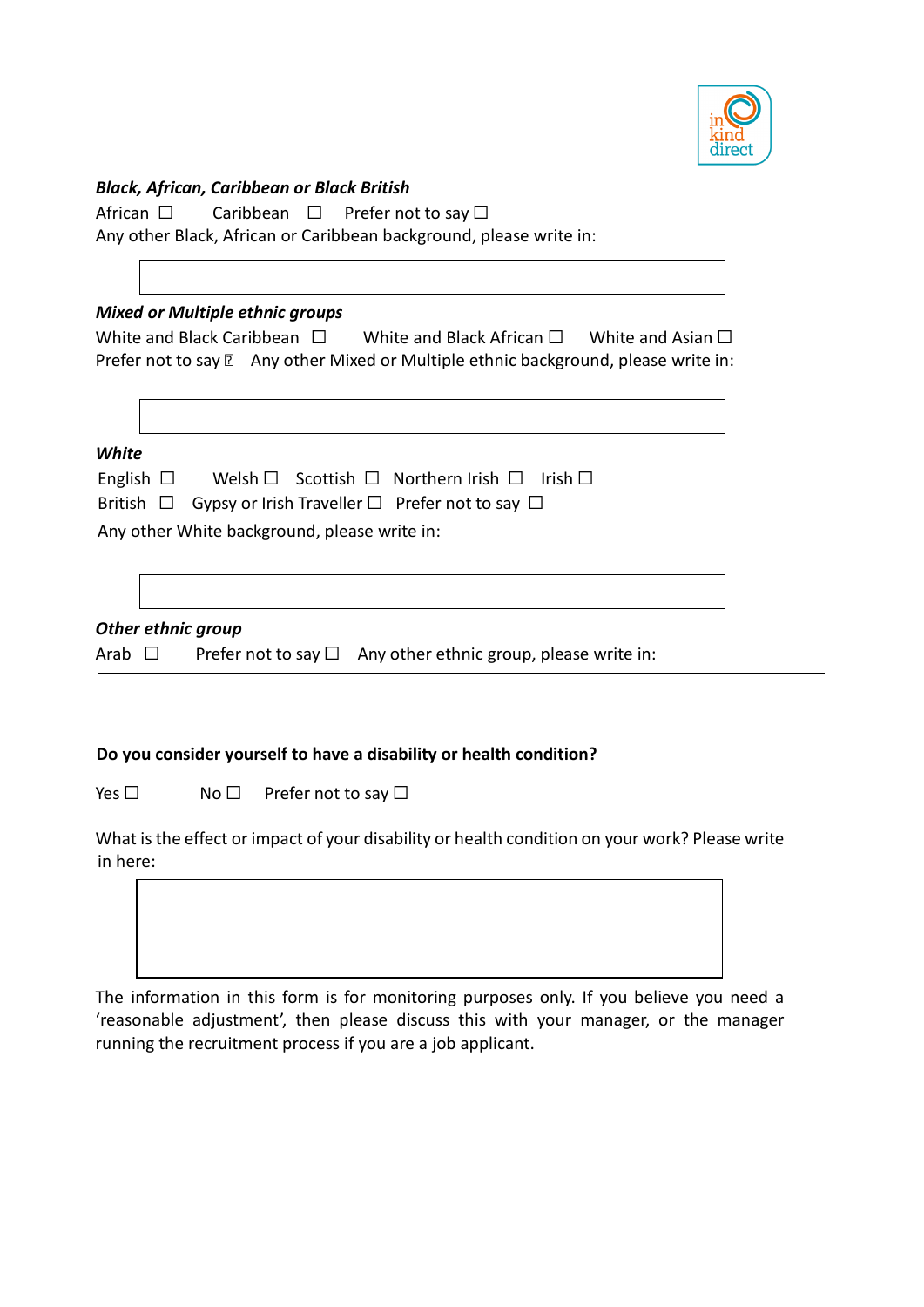

### *Black, African, Caribbean or Black British*

African □ Caribbean □ Prefer not to say □

Any other Black, African or Caribbean background, please write in:

# *Mixed or Multiple ethnic groups*

| White and Black Caribbean |  | White and Black African $\square$ | White and Asian $\square$                                                                     |
|---------------------------|--|-----------------------------------|-----------------------------------------------------------------------------------------------|
|                           |  |                                   | Prefer not to say <b>sqrt</b> Any other Mixed or Multiple ethnic background, please write in: |

*White*

| English $\Box$ |  | Welsh $\Box$ Scottish $\Box$ Northern Irish $\Box$ Irish $\Box$                                       |  |
|----------------|--|-------------------------------------------------------------------------------------------------------|--|
|                |  | $\mathsf{D}$ attisk i $\Box$ . Over a substantial Taxanalle a $\Box$ . Notice a set to see the $\Box$ |  |

|  | British $\Box$ Gypsy or Irish Traveller $\Box$ Prefer not to say $\Box$ |  |  |
|--|-------------------------------------------------------------------------|--|--|
|--|-------------------------------------------------------------------------|--|--|

Any other White background, please write in:

## *Other ethnic group*

Arab  $\Box$  Prefer not to say  $\Box$  Any other ethnic group, please write in:

# **Do you consider yourself to have a disability or health condition?**

Yes □ No □ Prefer not to say □

What is the effect or impact of your disability or health condition on your work? Please write in here:

The information in this form is for monitoring purposes only. If you believe you need a

'reasonable adjustment', then please discuss this with your manager, or the manager running the recruitment process if you are a job applicant.